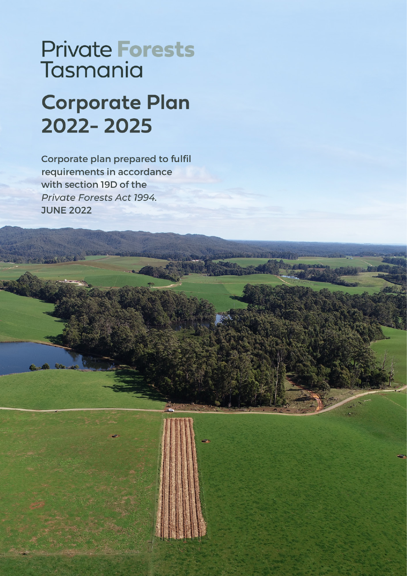# **Private Forests** Tasmania

# **Corporate Plan** 2022-2025

Corporate plan prepared to fulfil requirements in accordance with section 19D of the Private Forests Act 1994. **JUNE 2022**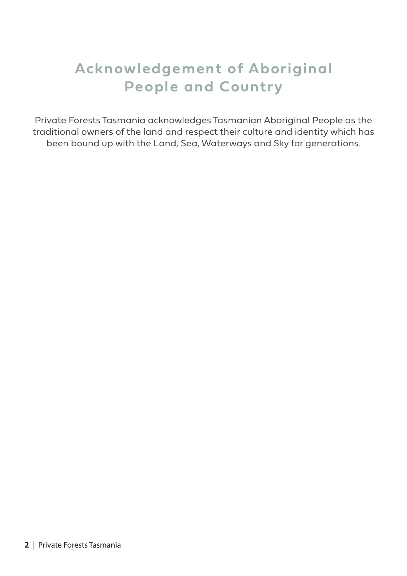## **Acknowledgement of Aboriginal People and Country**

Private Forests Tasmania acknowledges Tasmanian Aboriginal People as the traditional owners of the land and respect their culture and identity which has been bound up with the Land, Sea, Waterways and Sky for generations.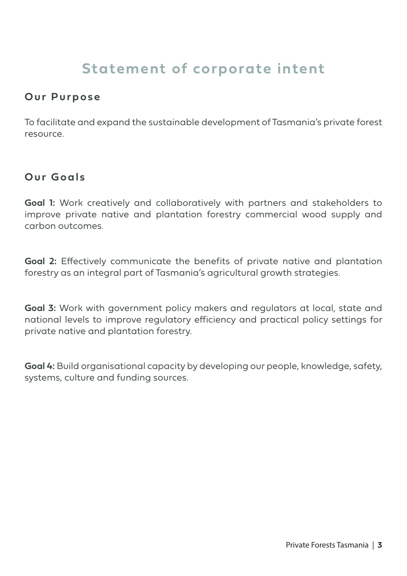## **Statement of corporate intent**

#### **Our Purpose**

To facilitate and expand the sustainable development of Tasmania's private forest resource.

#### **Our Goals**

**Goal 1:** Work creatively and collaboratively with partners and stakeholders to improve private native and plantation forestry commercial wood supply and carbon outcomes.

**Goal 2:** Effectively communicate the benefits of private native and plantation forestry as an integral part of Tasmania's agricultural growth strategies.

**Goal 3:** Work with government policy makers and regulators at local, state and national levels to improve regulatory efficiency and practical policy settings for private native and plantation forestry.

**Goal 4:** Build organisational capacity by developing our people, knowledge, safety, systems, culture and funding sources.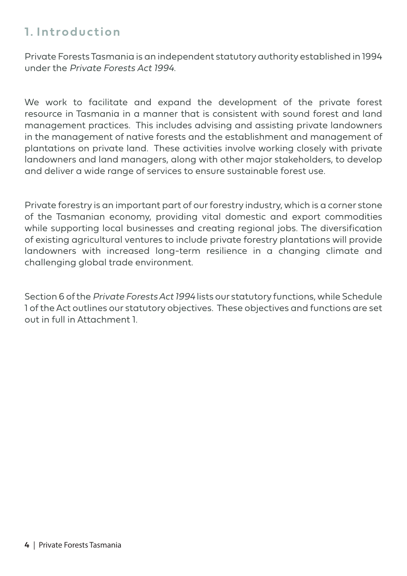## **1. Introduction**

Private Forests Tasmania is an independent statutory authority established in 1994 under the Private Forests Act 1994.

We work to facilitate and expand the development of the private forest resource in Tasmania in a manner that is consistent with sound forest and land management practices. This includes advising and assisting private landowners in the management of native forests and the establishment and management of plantations on private land. These activities involve working closely with private landowners and land managers, along with other major stakeholders, to develop and deliver a wide range of services to ensure sustainable forest use.

Private forestry is an important part of our forestry industry, which is a corner stone of the Tasmanian economy, providing vital domestic and export commodities while supporting local businesses and creating regional jobs. The diversification of existing agricultural ventures to include private forestry plantations will provide landowners with increased long-term resilience in a changing climate and challenging global trade environment.

Section 6 of the Private Forests Act 1994 lists our statutory functions, while Schedule 1 of the Act outlines our statutory objectives. These objectives and functions are set out in full in Attachment 1.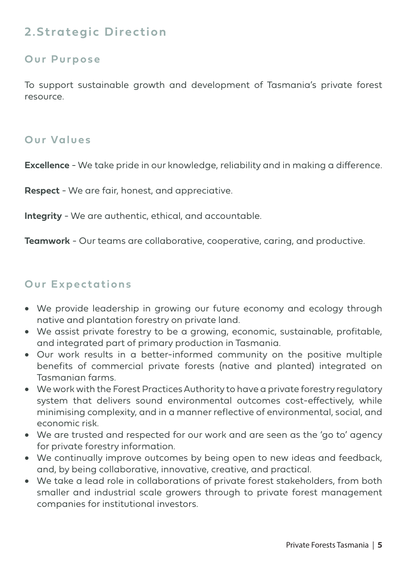## **2.Strategic Direction**

#### **Our Purpose**

To support sustainable growth and development of Tasmania's private forest resource.

#### **Our Values**

**Excellence** - We take pride in our knowledge, reliability and in making a difference.

**Respect** - We are fair, honest, and appreciative.

**Integrity** - We are authentic, ethical, and accountable.

**Teamwork** - Our teams are collaborative, cooperative, caring, and productive.

#### **Our Expectations**

- We provide leadership in growing our future economy and ecology through native and plantation forestry on private land.
- We assist private forestry to be a growing, economic, sustainable, profitable, and integrated part of primary production in Tasmania.
- • Our work results in a better-informed community on the positive multiple benefits of commercial private forests (native and planted) integrated on Tasmanian farms.
- We work with the Forest Practices Authority to have a private forestry regulatory system that delivers sound environmental outcomes cost-effectively, while minimising complexity, and in a manner reflective of environmental, social, and economic risk.
- We are trusted and respected for our work and are seen as the 'go to' agency for private forestry information.
- We continually improve outcomes by being open to new ideas and feedback, and, by being collaborative, innovative, creative, and practical.
- We take a lead role in collaborations of private forest stakeholders, from both smaller and industrial scale growers through to private forest management companies for institutional investors.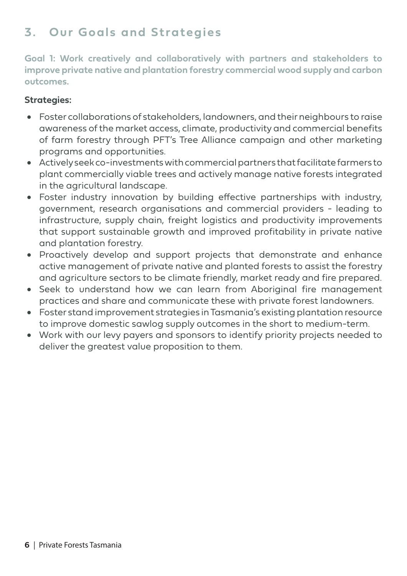## **3. Our Goals and Strategies**

**Goal 1: Work creatively and collaboratively with partners and stakeholders to improve private native and plantation forestry commercial wood supply and carbon outcomes.**

- • Foster collaborations of stakeholders, landowners, and their neighbours to raise awareness of the market access, climate, productivity and commercial benefits of farm forestry through PFT's Tree Alliance campaign and other marketing programs and opportunities.
- • Actively seek co-investments with commercial partners that facilitate farmers to plant commercially viable trees and actively manage native forests integrated in the agricultural landscape.
- Foster industry innovation by building effective partnerships with industry, government, research organisations and commercial providers - leading to infrastructure, supply chain, freight logistics and productivity improvements that support sustainable growth and improved profitability in private native and plantation forestry.
- • Proactively develop and support projects that demonstrate and enhance active management of private native and planted forests to assist the forestry and agriculture sectors to be climate friendly, market ready and fire prepared.
- Seek to understand how we can learn from Aboriginal fire management practices and share and communicate these with private forest landowners.
- Foster stand improvement strategies in Tasmania's existing plantation resource to improve domestic sawlog supply outcomes in the short to medium-term.
- Work with our levy payers and sponsors to identify priority projects needed to deliver the greatest value proposition to them.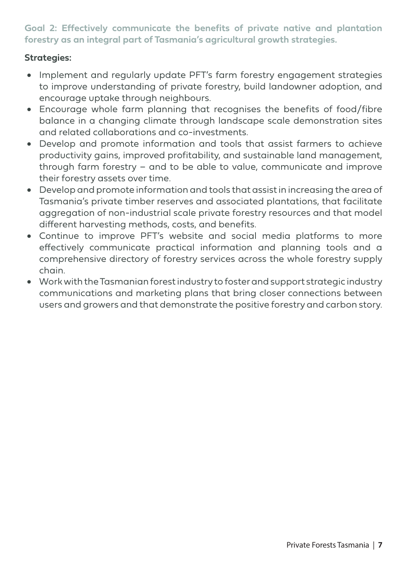**Goal 2: Effectively communicate the benefits of private native and plantation forestry as an integral part of Tasmania's agricultural growth strategies.**

- Implement and regularly update PFT's farm forestry engagement strategies to improve understanding of private forestry, build landowner adoption, and encourage uptake through neighbours.
- • Encourage whole farm planning that recognises the benefits of food/fibre balance in a changing climate through landscape scale demonstration sites and related collaborations and co-investments.
- • Develop and promote information and tools that assist farmers to achieve productivity gains, improved profitability, and sustainable land management, through farm forestry – and to be able to value, communicate and improve their forestry assets over time.
- • Develop and promote information and tools that assist in increasing the area of Tasmania's private timber reserves and associated plantations, that facilitate aggregation of non-industrial scale private forestry resources and that model different harvesting methods, costs, and benefits.
- • Continue to improve PFT's website and social media platforms to more effectively communicate practical information and planning tools and a comprehensive directory of forestry services across the whole forestry supply chain.
- • Work with the Tasmanian forest industry to foster and support strategic industry communications and marketing plans that bring closer connections between users and growers and that demonstrate the positive forestry and carbon story.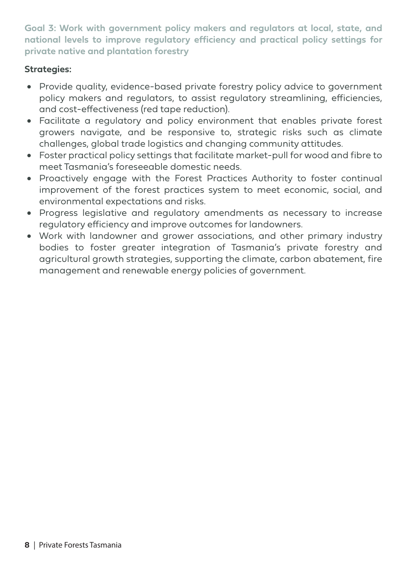**Goal 3: Work with government policy makers and regulators at local, state, and national levels to improve regulatory efficiency and practical policy settings for private native and plantation forestry**

- Provide quality, evidence-based private forestry policy advice to government policy makers and regulators, to assist regulatory streamlining, efficiencies, and cost-effectiveness (red tape reduction).
- • Facilitate a regulatory and policy environment that enables private forest growers navigate, and be responsive to, strategic risks such as climate challenges, global trade logistics and changing community attitudes.
- Foster practical policy settings that facilitate market-pull for wood and fibre to meet Tasmania's foreseeable domestic needs.
- Proactively engage with the Forest Practices Authority to foster continual improvement of the forest practices system to meet economic, social, and environmental expectations and risks.
- Progress legislative and regulatory amendments as necessary to increase regulatory efficiency and improve outcomes for landowners.
- Work with landowner and grower associations, and other primary industry bodies to foster greater integration of Tasmania's private forestry and agricultural growth strategies, supporting the climate, carbon abatement, fire management and renewable energy policies of government.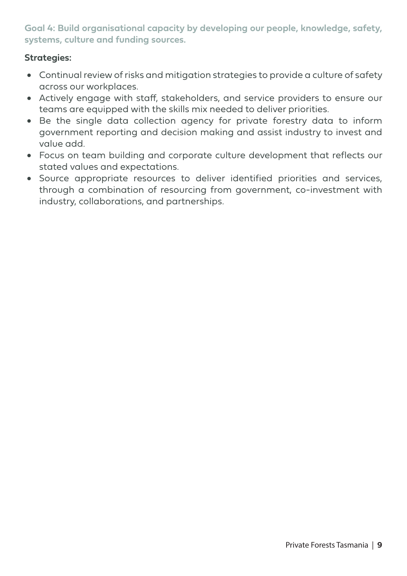**Goal 4: Build organisational capacity by developing our people, knowledge, safety, systems, culture and funding sources.**

- Continual review of risks and mitigation strategies to provide a culture of safety across our workplaces.
- Actively engage with staff, stakeholders, and service providers to ensure our teams are equipped with the skills mix needed to deliver priorities.
- Be the single data collection agency for private forestry data to inform government reporting and decision making and assist industry to invest and value add.
- Focus on team building and corporate culture development that reflects our stated values and expectations.
- • Source appropriate resources to deliver identified priorities and services, through a combination of resourcing from government, co-investment with industry, collaborations, and partnerships.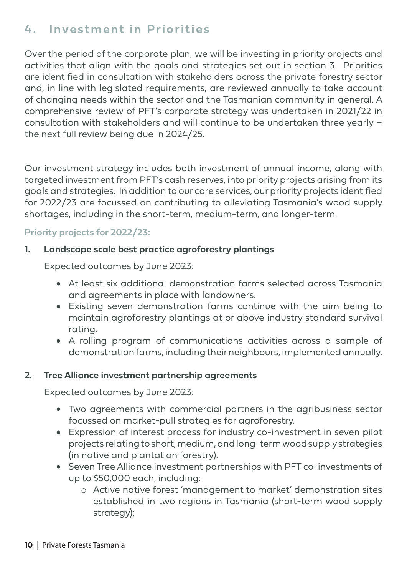## **4. Investment in Priorities**

Over the period of the corporate plan, we will be investing in priority projects and activities that align with the goals and strategies set out in section 3. Priorities are identified in consultation with stakeholders across the private forestry sector and, in line with legislated requirements, are reviewed annually to take account of changing needs within the sector and the Tasmanian community in general. A comprehensive review of PFT's corporate strategy was undertaken in 2021/22 in consultation with stakeholders and will continue to be undertaken three yearly – the next full review being due in 2024/25.

Our investment strategy includes both investment of annual income, along with targeted investment from PFT's cash reserves, into priority projects arising from its goals and strategies. In addition to our core services, our priority projects identified for 2022/23 are focussed on contributing to alleviating Tasmania's wood supply shortages, including in the short-term, medium-term, and longer-term.

#### **Priority projects for 2022/23:**

#### **1. Landscape scale best practice agroforestry plantings**

Expected outcomes by June 2023:

- At least six additional demonstration farms selected across Tasmania and agreements in place with landowners.
- • Existing seven demonstration farms continue with the aim being to maintain agroforestry plantings at or above industry standard survival rating.
- A rolling program of communications activities across a sample of demonstration farms, including their neighbours, implemented annually.

#### **2. Tree Alliance investment partnership agreements**

Expected outcomes by June 2023:

- Two agreements with commercial partners in the agribusiness sector focussed on market-pull strategies for agroforestry.
- • Expression of interest process for industry co-investment in seven pilot projects relating to short, medium, and long-term wood supply strategies (in native and plantation forestry).
- • Seven Tree Alliance investment partnerships with PFT co-investments of up to \$50,000 each, including:
	- o Active native forest 'management to market' demonstration sites established in two regions in Tasmania (short-term wood supply strategy);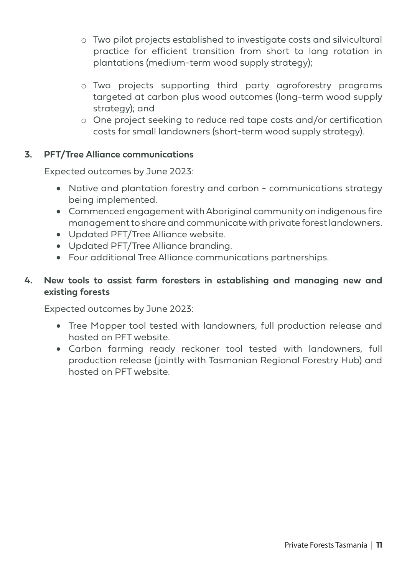- o Two pilot projects established to investigate costs and silvicultural practice for efficient transition from short to long rotation in plantations (medium-term wood supply strategy);
- o Two projects supporting third party agroforestry programs targeted at carbon plus wood outcomes (long-term wood supply strategy); and
- o One project seeking to reduce red tape costs and/or certification costs for small landowners (short-term wood supply strategy).

#### **3. PFT/Tree Alliance communications**

Expected outcomes by June 2023:

- Native and plantation forestry and carbon communications strategy being implemented.
- • Commenced engagement with Aboriginal community on indigenous fire management to share and communicate with private forest landowners.
- • Updated PFT/Tree Alliance website.
- • Updated PFT/Tree Alliance branding.
- Four additional Tree Alliance communications partnerships.

#### **4. New tools to assist farm foresters in establishing and managing new and existing forests**

Expected outcomes by June 2023:

- Tree Mapper tool tested with landowners, full production release and hosted on PFT website.
- • Carbon farming ready reckoner tool tested with landowners, full production release (jointly with Tasmanian Regional Forestry Hub) and hosted on PFT website.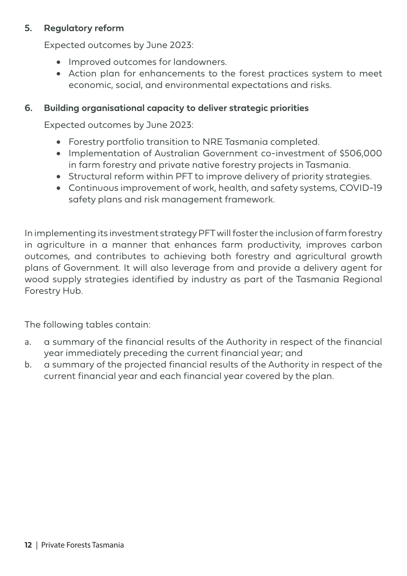#### **5. Regulatory reform**

Expected outcomes by June 2023:

- Improved outcomes for landowners.
- Action plan for enhancements to the forest practices system to meet economic, social, and environmental expectations and risks.

#### **6. Building organisational capacity to deliver strategic priorities**

Expected outcomes by June 2023:

- • Forestry portfolio transition to NRE Tasmania completed.
- Implementation of Australian Government co-investment of \$506,000 in farm forestry and private native forestry projects in Tasmania.
- Structural reform within PFT to improve delivery of priority strategies.
- Continuous improvement of work, health, and safety systems, COVID-19 safety plans and risk management framework.

In implementing its investment strategy PFT will foster the inclusion of farm forestry in agriculture in a manner that enhances farm productivity, improves carbon outcomes, and contributes to achieving both forestry and agricultural growth plans of Government. It will also leverage from and provide a delivery agent for wood supply strategies identified by industry as part of the Tasmania Regional Forestry Hub.

The following tables contain:

- a. a summary of the financial results of the Authority in respect of the financial year immediately preceding the current financial year; and
- b. a summary of the projected financial results of the Authority in respect of the current financial year and each financial year covered by the plan.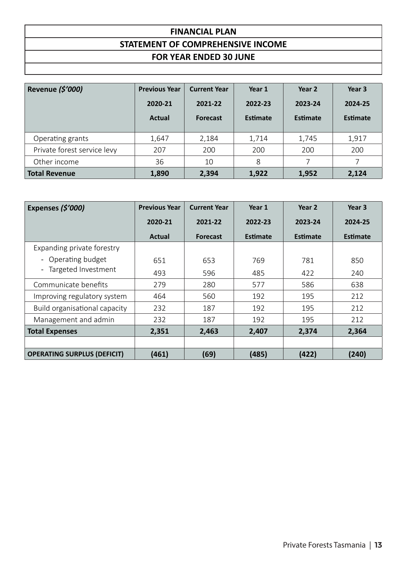#### **FINANCIAL PLAN STATEMENT OF COMPREHENSIVE INCOME FOR YEAR ENDED 30 JUNE**

| Revenue (\$'000)            | <b>Previous Year</b><br>2020-21<br>Actual | <b>Current Year</b><br>2021-22<br><b>Forecast</b> | Year 1<br>2022-23<br>Estimate | Year 2<br>2023-24<br>Estimate | Year 3<br>2024-25<br>Estimate |
|-----------------------------|-------------------------------------------|---------------------------------------------------|-------------------------------|-------------------------------|-------------------------------|
| Operating grants            | 1,647                                     | 2,184                                             | 1,714                         | 1,745                         | 1,917                         |
| Private forest service levy | 207                                       | 200                                               | 200                           | 200                           | 200                           |
| Other income                | 36                                        | 10                                                | 8                             |                               |                               |
| <b>Total Revenue</b>        | 1,890                                     | 2,394                                             | 1,922                         | 1,952                         | 2,124                         |

| Expenses (\$'000)                                           | <b>Previous Year</b> | <b>Current Year</b> | Year 1          | Year 2          | Year 3          |
|-------------------------------------------------------------|----------------------|---------------------|-----------------|-----------------|-----------------|
|                                                             | 2020-21              | 2021-22             | 2022-23         | 2023-24         | 2024-25         |
|                                                             | <b>Actual</b>        | <b>Forecast</b>     | <b>Estimate</b> | <b>Estimate</b> | <b>Estimate</b> |
| Expanding private forestry                                  |                      |                     |                 |                 |                 |
| - Operating budget<br>Targeted Investment<br>$\blacksquare$ | 651                  | 653                 | 769             | 781             | 850             |
|                                                             | 493                  | 596                 | 485             | 422             | 240             |
| Communicate benefits                                        | 279                  | 280                 | 577             | 586             | 638             |
| Improving regulatory system                                 | 464                  | 560                 | 192             | 195             | 212             |
| Build organisational capacity                               | 232                  | 187                 | 192             | 195             | 212             |
| Management and admin                                        | 232                  | 187                 | 192             | 195             | 212             |
| <b>Total Expenses</b>                                       | 2,351                | 2,463               | 2,407           | 2,374           | 2,364           |
|                                                             |                      |                     |                 |                 |                 |
| <b>OPERATING SURPLUS (DEFICIT)</b>                          | (461)                | (69)                | (485)           | (422)           | (240)           |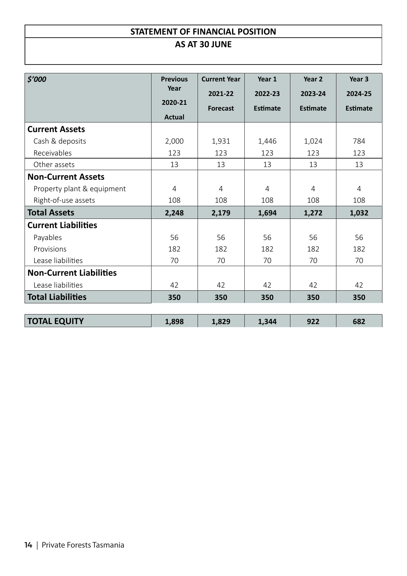#### **STATEMENT OF FINANCIAL POSITION AS AT 30 JUNE**

| \$7000                         | <b>Previous</b><br>Year | <b>Current Year</b> | Year 1         | Year 2          | Year <sub>3</sub> |
|--------------------------------|-------------------------|---------------------|----------------|-----------------|-------------------|
|                                |                         | 2021-22             | 2022-23        | 2023-24         | 2024-25           |
|                                | 2020-21                 | <b>Forecast</b>     | Estimate       | <b>Estimate</b> | <b>Estimate</b>   |
|                                | <b>Actual</b>           |                     |                |                 |                   |
| <b>Current Assets</b>          |                         |                     |                |                 |                   |
| Cash & deposits                | 2,000                   | 1,931               | 1,446          | 1,024           | 784               |
| Receivables                    | 123                     | 123                 | 123            | 123             | 123               |
| Other assets                   | 13                      | 13                  | 13             | 13              | 13                |
| <b>Non-Current Assets</b>      |                         |                     |                |                 |                   |
| Property plant & equipment     | $\overline{4}$          | $\overline{4}$      | $\overline{4}$ | $\overline{4}$  | $\overline{4}$    |
| Right-of-use assets            | 108                     | 108                 | 108            | 108             | 108               |
| <b>Total Assets</b>            | 2,248                   | 2,179               | 1,694          | 1,272           | 1,032             |
| <b>Current Liabilities</b>     |                         |                     |                |                 |                   |
| Payables                       | 56                      | 56                  | 56             | 56              | 56                |
| Provisions                     | 182                     | 182                 | 182            | 182             | 182               |
| Lease liabilities              | 70                      | 70                  | 70             | 70              | 70                |
| <b>Non-Current Liabilities</b> |                         |                     |                |                 |                   |
| Lease liabilities              | 42                      | 42                  | 42             | 42              | 42                |
| <b>Total Liabilities</b>       | 350                     | 350                 | 350            | 350             | 350               |
| <b>TOTAL EQUITY</b>            | 1,898                   | 1,829               | 1,344          | 922             | 682               |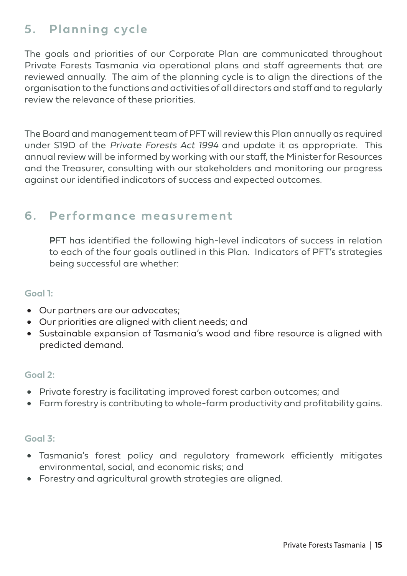## **5. Planning cycle**

The goals and priorities of our Corporate Plan are communicated throughout Private Forests Tasmania via operational plans and staff agreements that are reviewed annually. The aim of the planning cycle is to align the directions of the organisation to the functions and activities of all directors and staff and to regularly review the relevance of these priorities.

The Board and management team of PFT will review this Plan annually as required under S19D of the Private Forests Act 1994 and update it as appropriate. This annual review will be informed by working with our staff, the Minister for Resources and the Treasurer, consulting with our stakeholders and monitoring our progress against our identified indicators of success and expected outcomes.

### **6. Performance measurement**

**P**FT has identified the following high-level indicators of success in relation to each of the four goals outlined in this Plan. Indicators of PFT's strategies being successful are whether:

#### **Goal 1:**

- Our partners are our advocates;
- • Our priorities are aligned with client needs; and
- • Sustainable expansion of Tasmania's wood and fibre resource is aligned with predicted demand.

#### **Goal 2:**

- Private forestry is facilitating improved forest carbon outcomes; and
- Farm forestry is contributing to whole-farm productivity and profitability gains.

#### **Goal 3:**

- • Tasmania's forest policy and regulatory framework efficiently mitigates environmental, social, and economic risks; and
- • Forestry and agricultural growth strategies are aligned.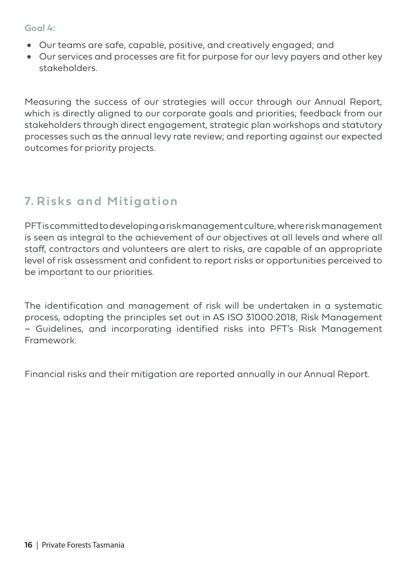#### **Goal 4:**

- • Our teams are safe, capable, positive, and creatively engaged; and
- Our services and processes are fit for purpose for our levy payers and other key stakeholders.

Measuring the success of our strategies will occur through our Annual Report, which is directly aligned to our corporate goals and priorities; feedback from our stakeholders through direct engagement, strategic plan workshops and statutory processes such as the annual levy rate review; and reporting against our expected outcomes for priority projects.

## **7. Risks and Mitigation**

PFT is committed to developing a risk management culture, where risk management is seen as integral to the achievement of our objectives at all levels and where all staff, contractors and volunteers are alert to risks, are capable of an appropriate level of risk assessment and confident to report risks or opportunities perceived to be important to our priorities.

The identification and management of risk will be undertaken in a systematic process, adopting the principles set out in AS ISO 31000:2018, Risk Management – Guidelines, and incorporating identified risks into PFT's Risk Management Framework.

Financial risks and their mitigation are reported annually in our Annual Report.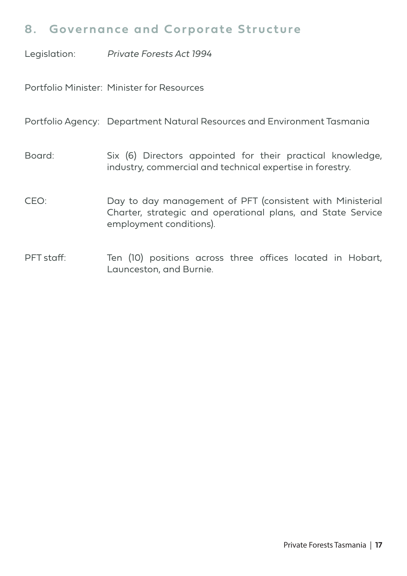### **8. Governance and Corporate Structure**

Legislation: Private Forests Act 1994

Portfolio Minister: Minister for Resources

Portfolio Agency: Department Natural Resources and Environment Tasmania

Board: Six (6) Directors appointed for their practical knowledge, industry, commercial and technical expertise in forestry.

- CEO: Day to day management of PFT (consistent with Ministerial Charter, strategic and operational plans, and State Service employment conditions).
- PFT staff: Ten (10) positions across three offices located in Hobart, Launceston, and Burnie.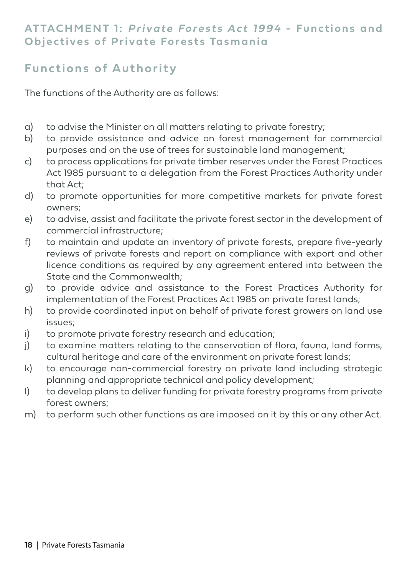#### **ATTACHMENT 1: Private Forests Act 1994 - Functions and Objectives of Private Forests Tasmania**

## **Functions of Authority**

The functions of the Authority are as follows:

- a) to advise the Minister on all matters relating to private forestry;
- b) to provide assistance and advice on forest management for commercial purposes and on the use of trees for sustainable land management;
- c) to process applications for private timber reserves under the Forest Practices Act 1985 pursuant to a delegation from the Forest Practices Authority under that Act;
- d) to promote opportunities for more competitive markets for private forest owners;
- e) to advise, assist and facilitate the private forest sector in the development of commercial infrastructure;
- f) to maintain and update an inventory of private forests, prepare five-yearly reviews of private forests and report on compliance with export and other licence conditions as required by any agreement entered into between the State and the Commonwealth;
- g) to provide advice and assistance to the Forest Practices Authority for implementation of the Forest Practices Act 1985 on private forest lands;
- h) to provide coordinated input on behalf of private forest growers on land use issues;
- i) to promote private forestry research and education;
- j) to examine matters relating to the conservation of flora, fauna, land forms, cultural heritage and care of the environment on private forest lands;
- k) to encourage non-commercial forestry on private land including strategic planning and appropriate technical and policy development;
- l) to develop plans to deliver funding for private forestry programs from private forest owners;
- m) to perform such other functions as are imposed on it by this or any other Act.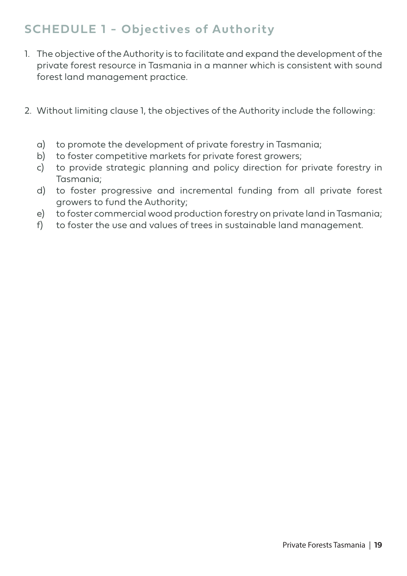## **SCHEDULE 1 - Objectives of Authority**

- 1. The objective of the Authority is to facilitate and expand the development of the private forest resource in Tasmania in a manner which is consistent with sound forest land management practice.
- 2. Without limiting clause 1, the objectives of the Authority include the following:
	- a) to promote the development of private forestry in Tasmania;
	- b) to foster competitive markets for private forest growers;
	- c) to provide strategic planning and policy direction for private forestry in Tasmania;
	- d) to foster progressive and incremental funding from all private forest growers to fund the Authority;
	- e) to foster commercial wood production forestry on private land in Tasmania;
	- f) to foster the use and values of trees in sustainable land management.